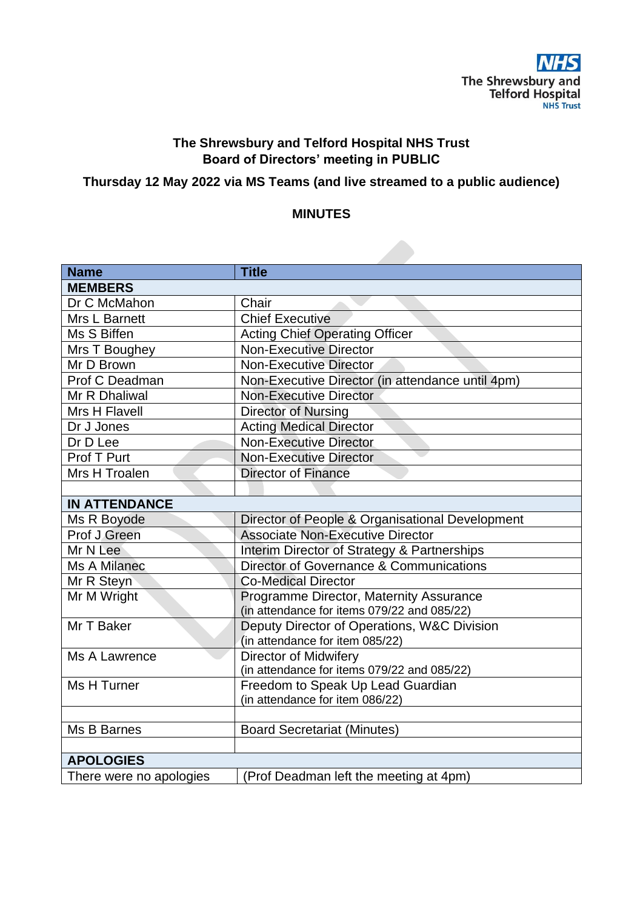

# **The Shrewsbury and Telford Hospital NHS Trust Board of Directors' meeting in PUBLIC**

# **Thursday 12 May 2022 via MS Teams (and live streamed to a public audience)**

## **MINUTES**

| <b>Name</b>             | <b>Title</b>                                     |
|-------------------------|--------------------------------------------------|
| <b>MEMBERS</b>          |                                                  |
| Dr C McMahon            | Chair                                            |
| Mrs L Barnett           | <b>Chief Executive</b>                           |
| Ms S Biffen             | <b>Acting Chief Operating Officer</b>            |
| Mrs T Boughey           | <b>Non-Executive Director</b>                    |
| Mr D Brown              | <b>Non-Executive Director</b>                    |
| Prof C Deadman          | Non-Executive Director (in attendance until 4pm) |
| Mr R Dhaliwal           | <b>Non-Executive Director</b>                    |
| Mrs H Flavell           | <b>Director of Nursing</b>                       |
| Dr J Jones              | <b>Acting Medical Director</b>                   |
| Dr D Lee                | <b>Non-Executive Director</b>                    |
| Prof T Purt             | <b>Non-Executive Director</b>                    |
| Mrs H Troalen           | <b>Director of Finance</b>                       |
|                         |                                                  |
| <b>IN ATTENDANCE</b>    |                                                  |
| Ms R Boyode             | Director of People & Organisational Development  |
| Prof J Green            | <b>Associate Non-Executive Director</b>          |
| Mr N Lee                | Interim Director of Strategy & Partnerships      |
| Ms A Milanec            | Director of Governance & Communications          |
| Mr R Steyn              | <b>Co-Medical Director</b>                       |
| Mr M Wright             | Programme Director, Maternity Assurance          |
|                         | (in attendance for items 079/22 and 085/22)      |
| Mr T Baker              | Deputy Director of Operations, W&C Division      |
|                         | (in attendance for item 085/22)                  |
| Ms A Lawrence           | <b>Director of Midwifery</b>                     |
|                         | (in attendance for items 079/22 and 085/22)      |
| Ms H Turner             | Freedom to Speak Up Lead Guardian                |
|                         | (in attendance for item 086/22)                  |
| Ms B Barnes             | <b>Board Secretariat (Minutes)</b>               |
|                         |                                                  |
| <b>APOLOGIES</b>        |                                                  |
| There were no apologies |                                                  |
|                         | (Prof Deadman left the meeting at 4pm)           |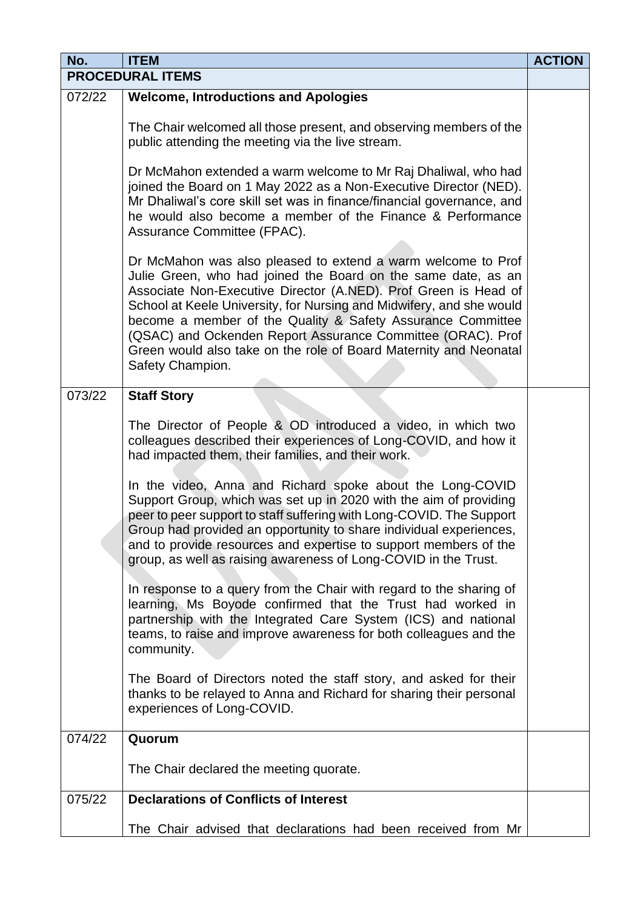| No.    | <b>ITEM</b>                                                                                                                                                                                                                                                                                                                                                                                                                                                                                                                                                                                                   | <b>ACTION</b> |  |
|--------|---------------------------------------------------------------------------------------------------------------------------------------------------------------------------------------------------------------------------------------------------------------------------------------------------------------------------------------------------------------------------------------------------------------------------------------------------------------------------------------------------------------------------------------------------------------------------------------------------------------|---------------|--|
|        | <b>PROCEDURAL ITEMS</b>                                                                                                                                                                                                                                                                                                                                                                                                                                                                                                                                                                                       |               |  |
| 072/22 | <b>Welcome, Introductions and Apologies</b>                                                                                                                                                                                                                                                                                                                                                                                                                                                                                                                                                                   |               |  |
|        | The Chair welcomed all those present, and observing members of the<br>public attending the meeting via the live stream.                                                                                                                                                                                                                                                                                                                                                                                                                                                                                       |               |  |
|        | Dr McMahon extended a warm welcome to Mr Raj Dhaliwal, who had<br>joined the Board on 1 May 2022 as a Non-Executive Director (NED).<br>Mr Dhaliwal's core skill set was in finance/financial governance, and<br>he would also become a member of the Finance & Performance<br>Assurance Committee (FPAC).                                                                                                                                                                                                                                                                                                     |               |  |
|        | Dr McMahon was also pleased to extend a warm welcome to Prof<br>Julie Green, who had joined the Board on the same date, as an<br>Associate Non-Executive Director (A.NED). Prof Green is Head of<br>School at Keele University, for Nursing and Midwifery, and she would<br>become a member of the Quality & Safety Assurance Committee<br>(QSAC) and Ockenden Report Assurance Committee (ORAC). Prof<br>Green would also take on the role of Board Maternity and Neonatal<br>Safety Champion.                                                                                                               |               |  |
| 073/22 | <b>Staff Story</b>                                                                                                                                                                                                                                                                                                                                                                                                                                                                                                                                                                                            |               |  |
|        | The Director of People & OD introduced a video, in which two<br>colleagues described their experiences of Long-COVID, and how it<br>had impacted them, their families, and their work.<br>In the video, Anna and Richard spoke about the Long-COVID<br>Support Group, which was set up in 2020 with the aim of providing<br>peer to peer support to staff suffering with Long-COVID. The Support<br>Group had provided an opportunity to share individual experiences,<br>and to provide resources and expertise to support members of the<br>group, as well as raising awareness of Long-COVID in the Trust. |               |  |
|        | In response to a query from the Chair with regard to the sharing of<br>learning, Ms Boyode confirmed that the Trust had worked in<br>partnership with the Integrated Care System (ICS) and national<br>teams, to raise and improve awareness for both colleagues and the<br>community.                                                                                                                                                                                                                                                                                                                        |               |  |
|        | The Board of Directors noted the staff story, and asked for their<br>thanks to be relayed to Anna and Richard for sharing their personal<br>experiences of Long-COVID.                                                                                                                                                                                                                                                                                                                                                                                                                                        |               |  |
| 074/22 | Quorum                                                                                                                                                                                                                                                                                                                                                                                                                                                                                                                                                                                                        |               |  |
|        | The Chair declared the meeting quorate.                                                                                                                                                                                                                                                                                                                                                                                                                                                                                                                                                                       |               |  |
| 075/22 | <b>Declarations of Conflicts of Interest</b>                                                                                                                                                                                                                                                                                                                                                                                                                                                                                                                                                                  |               |  |
|        | The Chair advised that declarations had been received from Mr                                                                                                                                                                                                                                                                                                                                                                                                                                                                                                                                                 |               |  |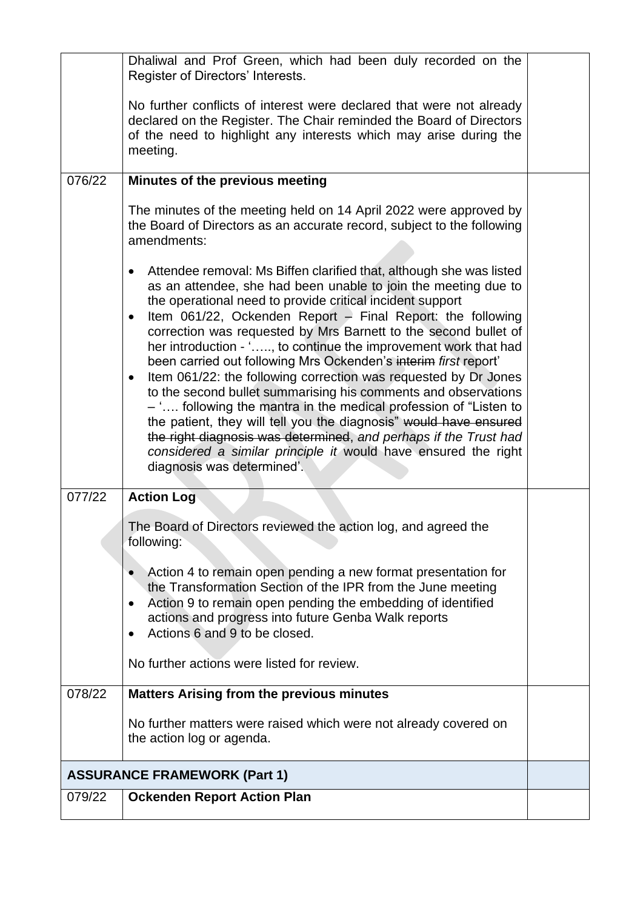|                                     | Dhaliwal and Prof Green, which had been duly recorded on the<br>Register of Directors' Interests.                                                                                                                                                                                                                                                                                                                                                                                                                                                                                                                                                                                                                                                                                                                                                                                                                                                                  |  |
|-------------------------------------|--------------------------------------------------------------------------------------------------------------------------------------------------------------------------------------------------------------------------------------------------------------------------------------------------------------------------------------------------------------------------------------------------------------------------------------------------------------------------------------------------------------------------------------------------------------------------------------------------------------------------------------------------------------------------------------------------------------------------------------------------------------------------------------------------------------------------------------------------------------------------------------------------------------------------------------------------------------------|--|
|                                     | No further conflicts of interest were declared that were not already<br>declared on the Register. The Chair reminded the Board of Directors<br>of the need to highlight any interests which may arise during the<br>meeting.                                                                                                                                                                                                                                                                                                                                                                                                                                                                                                                                                                                                                                                                                                                                       |  |
| 076/22                              | Minutes of the previous meeting                                                                                                                                                                                                                                                                                                                                                                                                                                                                                                                                                                                                                                                                                                                                                                                                                                                                                                                                    |  |
|                                     | The minutes of the meeting held on 14 April 2022 were approved by<br>the Board of Directors as an accurate record, subject to the following<br>amendments:                                                                                                                                                                                                                                                                                                                                                                                                                                                                                                                                                                                                                                                                                                                                                                                                         |  |
|                                     | Attendee removal: Ms Biffen clarified that, although she was listed<br>$\bullet$<br>as an attendee, she had been unable to join the meeting due to<br>the operational need to provide critical incident support<br>Item 061/22, Ockenden Report - Final Report: the following<br>$\bullet$<br>correction was requested by Mrs Barnett to the second bullet of<br>her introduction - ', to continue the improvement work that had<br>been carried out following Mrs Ockenden's interim first report'<br>Item 061/22: the following correction was requested by Dr Jones<br>$\bullet$<br>to the second bullet summarising his comments and observations<br>- ' following the mantra in the medical profession of "Listen to<br>the patient, they will tell you the diagnosis" would have ensured<br>the right diagnosis was determined, and perhaps if the Trust had<br>considered a similar principle it would have ensured the right<br>diagnosis was determined'. |  |
| 077/22                              | <b>Action Log</b>                                                                                                                                                                                                                                                                                                                                                                                                                                                                                                                                                                                                                                                                                                                                                                                                                                                                                                                                                  |  |
|                                     | The Board of Directors reviewed the action log, and agreed the<br>following:                                                                                                                                                                                                                                                                                                                                                                                                                                                                                                                                                                                                                                                                                                                                                                                                                                                                                       |  |
|                                     | Action 4 to remain open pending a new format presentation for<br>the Transformation Section of the IPR from the June meeting<br>Action 9 to remain open pending the embedding of identified<br>$\bullet$<br>actions and progress into future Genba Walk reports<br>Actions 6 and 9 to be closed.                                                                                                                                                                                                                                                                                                                                                                                                                                                                                                                                                                                                                                                                   |  |
|                                     | No further actions were listed for review.                                                                                                                                                                                                                                                                                                                                                                                                                                                                                                                                                                                                                                                                                                                                                                                                                                                                                                                         |  |
| 078/22                              | <b>Matters Arising from the previous minutes</b>                                                                                                                                                                                                                                                                                                                                                                                                                                                                                                                                                                                                                                                                                                                                                                                                                                                                                                                   |  |
|                                     | No further matters were raised which were not already covered on<br>the action log or agenda.                                                                                                                                                                                                                                                                                                                                                                                                                                                                                                                                                                                                                                                                                                                                                                                                                                                                      |  |
| <b>ASSURANCE FRAMEWORK (Part 1)</b> |                                                                                                                                                                                                                                                                                                                                                                                                                                                                                                                                                                                                                                                                                                                                                                                                                                                                                                                                                                    |  |
| 079/22                              | <b>Ockenden Report Action Plan</b>                                                                                                                                                                                                                                                                                                                                                                                                                                                                                                                                                                                                                                                                                                                                                                                                                                                                                                                                 |  |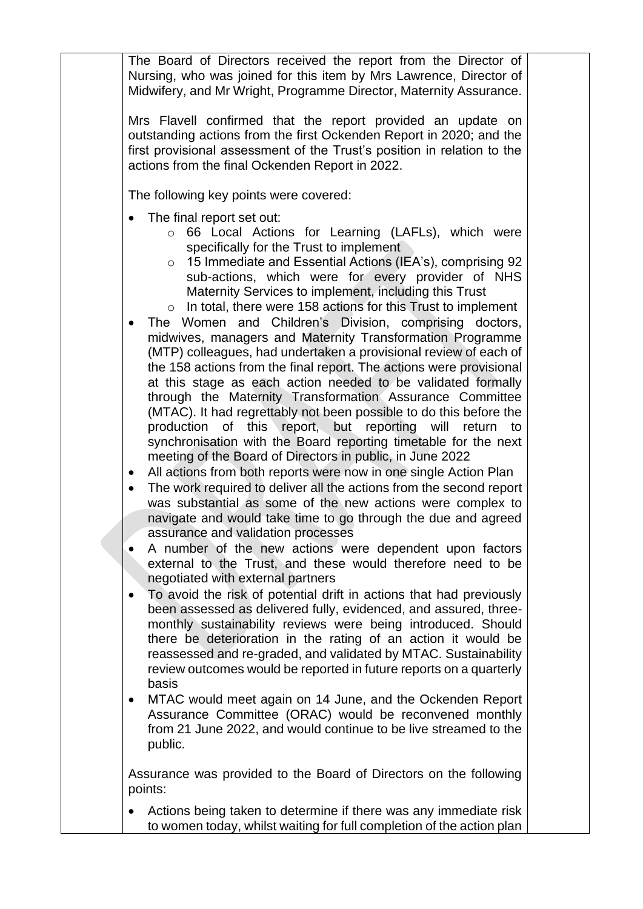The Board of Directors received the report from the Director of Nursing, who was joined for this item by Mrs Lawrence, Director of Midwifery, and Mr Wright, Programme Director, Maternity Assurance.

Mrs Flavell confirmed that the report provided an update on outstanding actions from the first Ockenden Report in 2020; and the first provisional assessment of the Trust's position in relation to the actions from the final Ockenden Report in 2022.

The following key points were covered:

- The final report set out:
	- o 66 Local Actions for Learning (LAFLs), which were specifically for the Trust to implement
	- o 15 Immediate and Essential Actions (IEA's), comprising 92 sub-actions, which were for every provider of NHS Maternity Services to implement, including this Trust
	- $\circ$  In total, there were 158 actions for this Trust to implement
- The Women and Children's Division, comprising doctors, midwives, managers and Maternity Transformation Programme (MTP) colleagues, had undertaken a provisional review of each of the 158 actions from the final report. The actions were provisional at this stage as each action needed to be validated formally through the Maternity Transformation Assurance Committee (MTAC). It had regrettably not been possible to do this before the production of this report, but reporting will return to synchronisation with the Board reporting timetable for the next meeting of the Board of Directors in public, in June 2022
- All actions from both reports were now in one single Action Plan
- The work required to deliver all the actions from the second report was substantial as some of the new actions were complex to navigate and would take time to go through the due and agreed assurance and validation processes
- A number of the new actions were dependent upon factors external to the Trust, and these would therefore need to be negotiated with external partners
- To avoid the risk of potential drift in actions that had previously been assessed as delivered fully, evidenced, and assured, threemonthly sustainability reviews were being introduced. Should there be deterioration in the rating of an action it would be reassessed and re-graded, and validated by MTAC. Sustainability review outcomes would be reported in future reports on a quarterly basis
- MTAC would meet again on 14 June, and the Ockenden Report Assurance Committee (ORAC) would be reconvened monthly from 21 June 2022, and would continue to be live streamed to the public.

Assurance was provided to the Board of Directors on the following points:

• Actions being taken to determine if there was any immediate risk to women today, whilst waiting for full completion of the action plan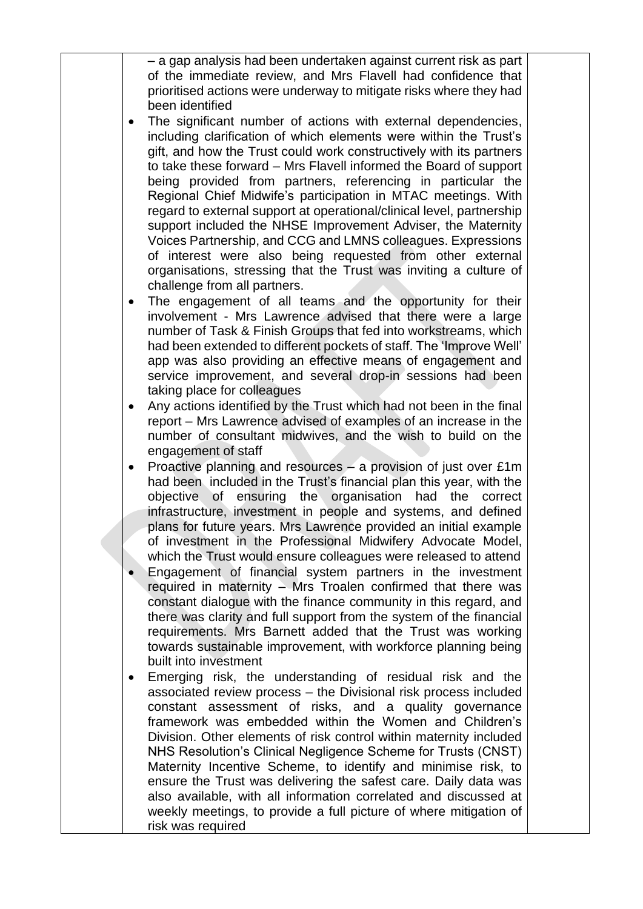– a gap analysis had been undertaken against current risk as part of the immediate review, and Mrs Flavell had confidence that prioritised actions were underway to mitigate risks where they had been identified

- The significant number of actions with external dependencies, including clarification of which elements were within the Trust's gift, and how the Trust could work constructively with its partners to take these forward – Mrs Flavell informed the Board of support being provided from partners, referencing in particular the Regional Chief Midwife's participation in MTAC meetings. With regard to external support at operational/clinical level, partnership support included the NHSE Improvement Adviser, the Maternity Voices Partnership, and CCG and LMNS colleagues. Expressions of interest were also being requested from other external organisations, stressing that the Trust was inviting a culture of challenge from all partners.
- The engagement of all teams and the opportunity for their involvement - Mrs Lawrence advised that there were a large number of Task & Finish Groups that fed into workstreams, which had been extended to different pockets of staff. The 'Improve Well' app was also providing an effective means of engagement and service improvement, and several drop-in sessions had been taking place for colleagues
- Any actions identified by the Trust which had not been in the final report – Mrs Lawrence advised of examples of an increase in the number of consultant midwives, and the wish to build on the engagement of staff
- Proactive planning and resources  $-$  a provision of just over £1m had been included in the Trust's financial plan this year, with the objective of ensuring the organisation had the correct infrastructure, investment in people and systems, and defined plans for future years. Mrs Lawrence provided an initial example of investment in the Professional Midwifery Advocate Model, which the Trust would ensure colleagues were released to attend
- Engagement of financial system partners in the investment required in maternity – Mrs Troalen confirmed that there was constant dialogue with the finance community in this regard, and there was clarity and full support from the system of the financial requirements. Mrs Barnett added that the Trust was working towards sustainable improvement, with workforce planning being built into investment
- Emerging risk, the understanding of residual risk and the associated review process – the Divisional risk process included constant assessment of risks, and a quality governance framework was embedded within the Women and Children's Division. Other elements of risk control within maternity included NHS Resolution's Clinical Negligence Scheme for Trusts (CNST) Maternity Incentive Scheme, to identify and minimise risk, to ensure the Trust was delivering the safest care. Daily data was also available, with all information correlated and discussed at weekly meetings, to provide a full picture of where mitigation of risk was required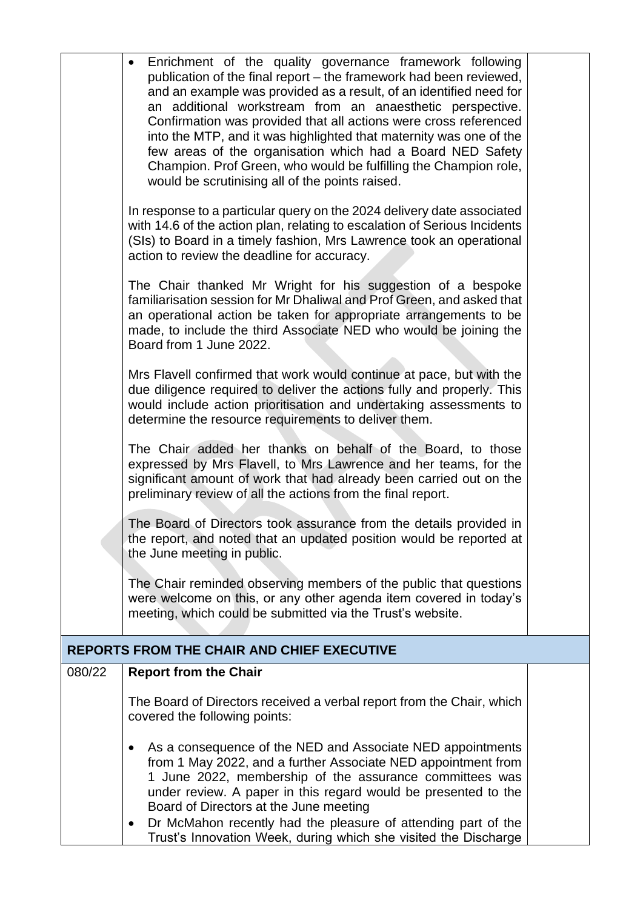|                                                   | Enrichment of the quality governance framework following<br>$\bullet$<br>publication of the final report – the framework had been reviewed,<br>and an example was provided as a result, of an identified need for<br>an additional workstream from an anaesthetic perspective.<br>Confirmation was provided that all actions were cross referenced<br>into the MTP, and it was highlighted that maternity was one of the                                         |  |  |
|---------------------------------------------------|------------------------------------------------------------------------------------------------------------------------------------------------------------------------------------------------------------------------------------------------------------------------------------------------------------------------------------------------------------------------------------------------------------------------------------------------------------------|--|--|
|                                                   | few areas of the organisation which had a Board NED Safety<br>Champion. Prof Green, who would be fulfilling the Champion role,<br>would be scrutinising all of the points raised.                                                                                                                                                                                                                                                                                |  |  |
|                                                   | In response to a particular query on the 2024 delivery date associated<br>with 14.6 of the action plan, relating to escalation of Serious Incidents<br>(SIs) to Board in a timely fashion, Mrs Lawrence took an operational<br>action to review the deadline for accuracy.                                                                                                                                                                                       |  |  |
|                                                   | The Chair thanked Mr Wright for his suggestion of a bespoke<br>familiarisation session for Mr Dhaliwal and Prof Green, and asked that<br>an operational action be taken for appropriate arrangements to be<br>made, to include the third Associate NED who would be joining the<br>Board from 1 June 2022.                                                                                                                                                       |  |  |
|                                                   | Mrs Flavell confirmed that work would continue at pace, but with the<br>due diligence required to deliver the actions fully and properly. This<br>would include action prioritisation and undertaking assessments to<br>determine the resource requirements to deliver them.                                                                                                                                                                                     |  |  |
|                                                   | The Chair added her thanks on behalf of the Board, to those<br>expressed by Mrs Flavell, to Mrs Lawrence and her teams, for the<br>significant amount of work that had already been carried out on the<br>preliminary review of all the actions from the final report.                                                                                                                                                                                           |  |  |
|                                                   | The Board of Directors took assurance from the details provided in<br>the report, and noted that an updated position would be reported at<br>the June meeting in public.                                                                                                                                                                                                                                                                                         |  |  |
|                                                   | The Chair reminded observing members of the public that questions<br>were welcome on this, or any other agenda item covered in today's<br>meeting, which could be submitted via the Trust's website.                                                                                                                                                                                                                                                             |  |  |
| <b>REPORTS FROM THE CHAIR AND CHIEF EXECUTIVE</b> |                                                                                                                                                                                                                                                                                                                                                                                                                                                                  |  |  |
| 080/22                                            | <b>Report from the Chair</b>                                                                                                                                                                                                                                                                                                                                                                                                                                     |  |  |
|                                                   | The Board of Directors received a verbal report from the Chair, which<br>covered the following points:                                                                                                                                                                                                                                                                                                                                                           |  |  |
|                                                   | As a consequence of the NED and Associate NED appointments<br>$\bullet$<br>from 1 May 2022, and a further Associate NED appointment from<br>1 June 2022, membership of the assurance committees was<br>under review. A paper in this regard would be presented to the<br>Board of Directors at the June meeting<br>Dr McMahon recently had the pleasure of attending part of the<br>$\bullet$<br>Trust's Innovation Week, during which she visited the Discharge |  |  |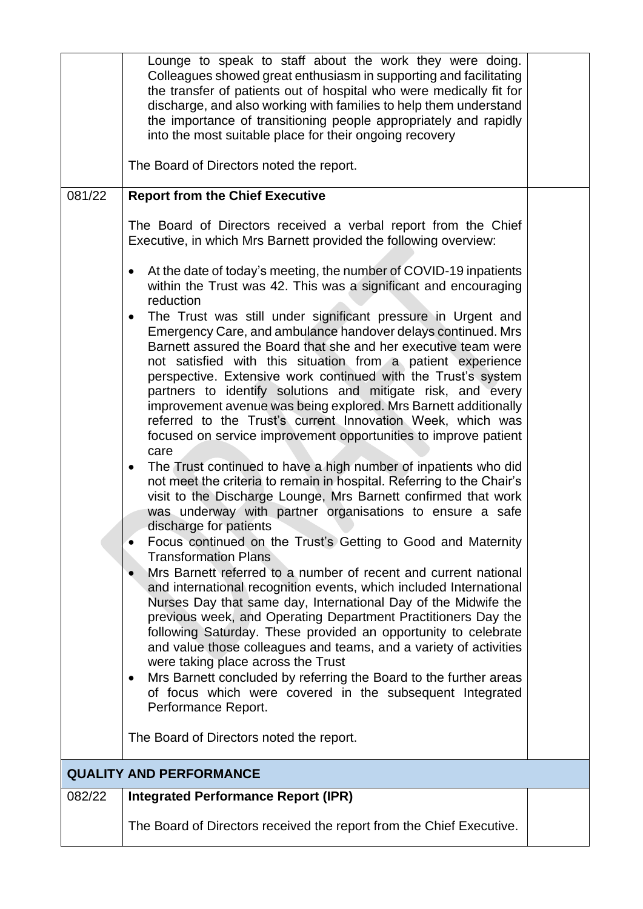|        | Lounge to speak to staff about the work they were doing.<br>Colleagues showed great enthusiasm in supporting and facilitating<br>the transfer of patients out of hospital who were medically fit for<br>discharge, and also working with families to help them understand<br>the importance of transitioning people appropriately and rapidly<br>into the most suitable place for their ongoing recovery                                                                                                                                                                                                                                                                                                                                                                                                                                                                                                                                                                                                                                                                                                                                                                                                                                                                                                                                                                                                                                                                                                                                                                                                                                                                                                                      |  |
|--------|-------------------------------------------------------------------------------------------------------------------------------------------------------------------------------------------------------------------------------------------------------------------------------------------------------------------------------------------------------------------------------------------------------------------------------------------------------------------------------------------------------------------------------------------------------------------------------------------------------------------------------------------------------------------------------------------------------------------------------------------------------------------------------------------------------------------------------------------------------------------------------------------------------------------------------------------------------------------------------------------------------------------------------------------------------------------------------------------------------------------------------------------------------------------------------------------------------------------------------------------------------------------------------------------------------------------------------------------------------------------------------------------------------------------------------------------------------------------------------------------------------------------------------------------------------------------------------------------------------------------------------------------------------------------------------------------------------------------------------|--|
|        | The Board of Directors noted the report.                                                                                                                                                                                                                                                                                                                                                                                                                                                                                                                                                                                                                                                                                                                                                                                                                                                                                                                                                                                                                                                                                                                                                                                                                                                                                                                                                                                                                                                                                                                                                                                                                                                                                      |  |
| 081/22 | <b>Report from the Chief Executive</b>                                                                                                                                                                                                                                                                                                                                                                                                                                                                                                                                                                                                                                                                                                                                                                                                                                                                                                                                                                                                                                                                                                                                                                                                                                                                                                                                                                                                                                                                                                                                                                                                                                                                                        |  |
|        | The Board of Directors received a verbal report from the Chief<br>Executive, in which Mrs Barnett provided the following overview:                                                                                                                                                                                                                                                                                                                                                                                                                                                                                                                                                                                                                                                                                                                                                                                                                                                                                                                                                                                                                                                                                                                                                                                                                                                                                                                                                                                                                                                                                                                                                                                            |  |
|        | At the date of today's meeting, the number of COVID-19 inpatients<br>$\bullet$<br>within the Trust was 42. This was a significant and encouraging<br>reduction                                                                                                                                                                                                                                                                                                                                                                                                                                                                                                                                                                                                                                                                                                                                                                                                                                                                                                                                                                                                                                                                                                                                                                                                                                                                                                                                                                                                                                                                                                                                                                |  |
|        | The Trust was still under significant pressure in Urgent and<br>$\bullet$<br>Emergency Care, and ambulance handover delays continued. Mrs<br>Barnett assured the Board that she and her executive team were<br>not satisfied with this situation from a patient experience<br>perspective. Extensive work continued with the Trust's system<br>partners to identify solutions and mitigate risk, and every<br>improvement avenue was being explored. Mrs Barnett additionally<br>referred to the Trust's current Innovation Week, which was<br>focused on service improvement opportunities to improve patient<br>care<br>The Trust continued to have a high number of inpatients who did<br>$\bullet$<br>not meet the criteria to remain in hospital. Referring to the Chair's<br>visit to the Discharge Lounge, Mrs Barnett confirmed that work<br>was underway with partner organisations to ensure a safe<br>discharge for patients<br>Focus continued on the Trust's Getting to Good and Maternity<br><b>Transformation Plans</b><br>Mrs Barnett referred to a number of recent and current national<br>$\bullet$<br>and international recognition events, which included International<br>Nurses Day that same day, International Day of the Midwife the<br>previous week, and Operating Department Practitioners Day the<br>following Saturday. These provided an opportunity to celebrate<br>and value those colleagues and teams, and a variety of activities<br>were taking place across the Trust<br>Mrs Barnett concluded by referring the Board to the further areas<br>$\bullet$<br>of focus which were covered in the subsequent Integrated<br>Performance Report.<br>The Board of Directors noted the report. |  |
|        | <b>QUALITY AND PERFORMANCE</b>                                                                                                                                                                                                                                                                                                                                                                                                                                                                                                                                                                                                                                                                                                                                                                                                                                                                                                                                                                                                                                                                                                                                                                                                                                                                                                                                                                                                                                                                                                                                                                                                                                                                                                |  |
| 082/22 | <b>Integrated Performance Report (IPR)</b>                                                                                                                                                                                                                                                                                                                                                                                                                                                                                                                                                                                                                                                                                                                                                                                                                                                                                                                                                                                                                                                                                                                                                                                                                                                                                                                                                                                                                                                                                                                                                                                                                                                                                    |  |
|        | The Board of Directors received the report from the Chief Executive.                                                                                                                                                                                                                                                                                                                                                                                                                                                                                                                                                                                                                                                                                                                                                                                                                                                                                                                                                                                                                                                                                                                                                                                                                                                                                                                                                                                                                                                                                                                                                                                                                                                          |  |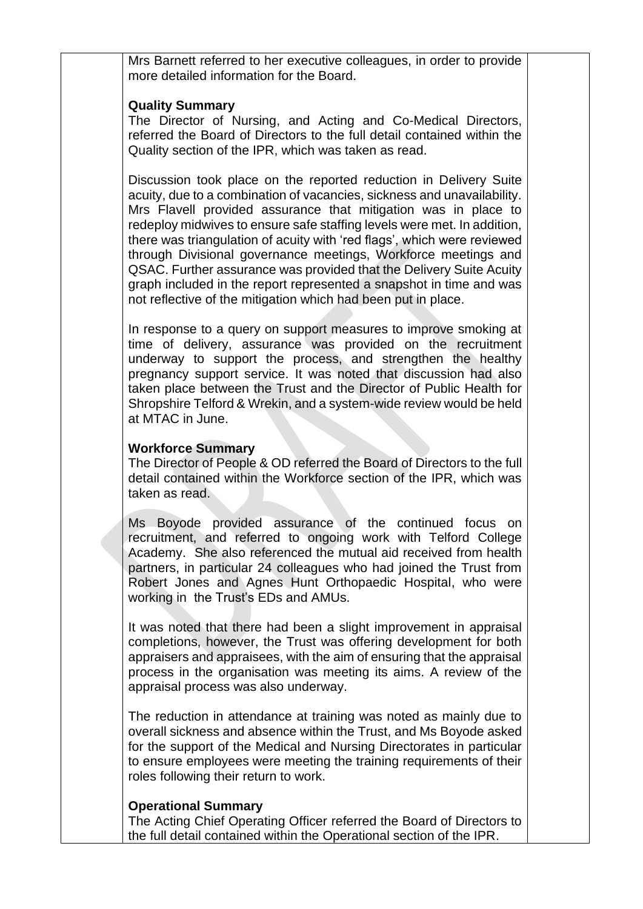Mrs Barnett referred to her executive colleagues, in order to provide more detailed information for the Board.

### **Quality Summary**

The Director of Nursing, and Acting and Co-Medical Directors, referred the Board of Directors to the full detail contained within the Quality section of the IPR, which was taken as read.

Discussion took place on the reported reduction in Delivery Suite acuity, due to a combination of vacancies, sickness and unavailability. Mrs Flavell provided assurance that mitigation was in place to redeploy midwives to ensure safe staffing levels were met. In addition, there was triangulation of acuity with 'red flags', which were reviewed through Divisional governance meetings, Workforce meetings and QSAC. Further assurance was provided that the Delivery Suite Acuity graph included in the report represented a snapshot in time and was not reflective of the mitigation which had been put in place.

In response to a query on support measures to improve smoking at time of delivery, assurance was provided on the recruitment underway to support the process, and strengthen the healthy pregnancy support service. It was noted that discussion had also taken place between the Trust and the Director of Public Health for Shropshire Telford & Wrekin, and a system-wide review would be held at MTAC in June.

### **Workforce Summary**

The Director of People & OD referred the Board of Directors to the full detail contained within the Workforce section of the IPR, which was taken as read.

Ms Boyode provided assurance of the continued focus on recruitment, and referred to ongoing work with Telford College Academy. She also referenced the mutual aid received from health partners, in particular 24 colleagues who had joined the Trust from Robert Jones and Agnes Hunt Orthopaedic Hospital, who were working in the Trust's EDs and AMUs.

It was noted that there had been a slight improvement in appraisal completions, however, the Trust was offering development for both appraisers and appraisees, with the aim of ensuring that the appraisal process in the organisation was meeting its aims. A review of the appraisal process was also underway.

The reduction in attendance at training was noted as mainly due to overall sickness and absence within the Trust, and Ms Boyode asked for the support of the Medical and Nursing Directorates in particular to ensure employees were meeting the training requirements of their roles following their return to work.

## **Operational Summary**

The Acting Chief Operating Officer referred the Board of Directors to the full detail contained within the Operational section of the IPR.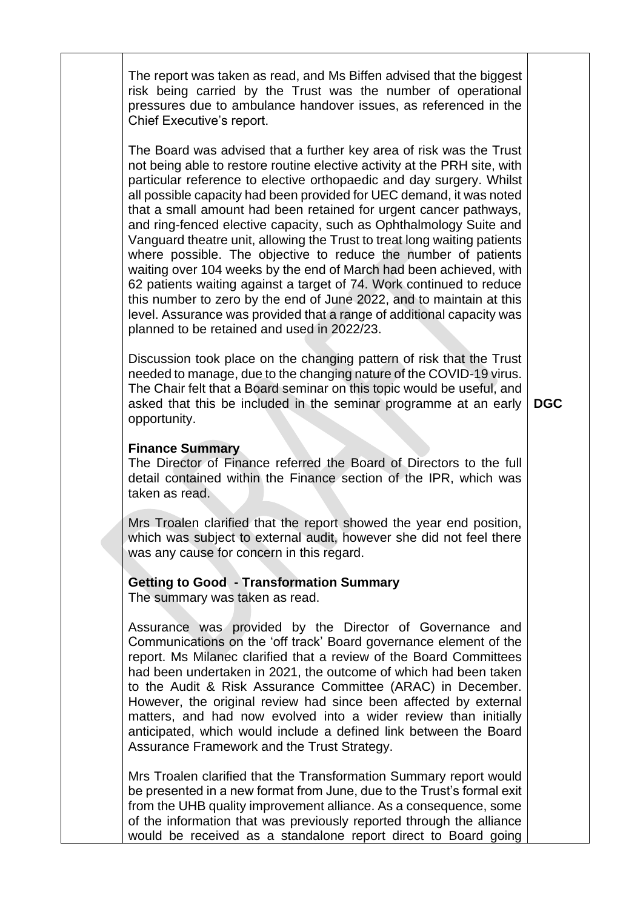The report was taken as read, and Ms Biffen advised that the biggest risk being carried by the Trust was the number of operational pressures due to ambulance handover issues, as referenced in the Chief Executive's report.

The Board was advised that a further key area of risk was the Trust not being able to restore routine elective activity at the PRH site, with particular reference to elective orthopaedic and day surgery. Whilst all possible capacity had been provided for UEC demand, it was noted that a small amount had been retained for urgent cancer pathways, and ring-fenced elective capacity, such as Ophthalmology Suite and Vanguard theatre unit, allowing the Trust to treat long waiting patients where possible. The objective to reduce the number of patients waiting over 104 weeks by the end of March had been achieved, with 62 patients waiting against a target of 74. Work continued to reduce this number to zero by the end of June 2022, and to maintain at this level. Assurance was provided that a range of additional capacity was planned to be retained and used in 2022/23.

Discussion took place on the changing pattern of risk that the Trust needed to manage, due to the changing nature of the COVID-19 virus. The Chair felt that a Board seminar on this topic would be useful, and asked that this be included in the seminar programme at an early opportunity.

**DGC**

### **Finance Summary**

The Director of Finance referred the Board of Directors to the full detail contained within the Finance section of the IPR, which was taken as read.

Mrs Troalen clarified that the report showed the year end position, which was subject to external audit, however she did not feel there was any cause for concern in this regard.

#### **Getting to Good - Transformation Summary**

The summary was taken as read.

Assurance was provided by the Director of Governance and Communications on the 'off track' Board governance element of the report. Ms Milanec clarified that a review of the Board Committees had been undertaken in 2021, the outcome of which had been taken to the Audit & Risk Assurance Committee (ARAC) in December. However, the original review had since been affected by external matters, and had now evolved into a wider review than initially anticipated, which would include a defined link between the Board Assurance Framework and the Trust Strategy.

Mrs Troalen clarified that the Transformation Summary report would be presented in a new format from June, due to the Trust's formal exit from the UHB quality improvement alliance. As a consequence, some of the information that was previously reported through the alliance would be received as a standalone report direct to Board going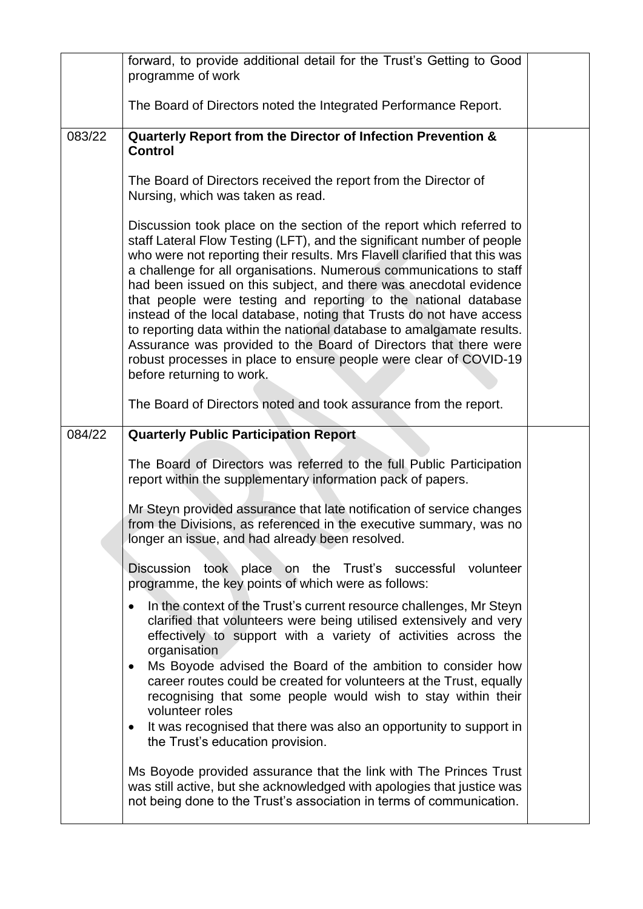|        | forward, to provide additional detail for the Trust's Getting to Good<br>programme of work                                                                                                                                                                                                                                                                                                                                                                                                                                                                                                                                                                                                                                                                        |  |
|--------|-------------------------------------------------------------------------------------------------------------------------------------------------------------------------------------------------------------------------------------------------------------------------------------------------------------------------------------------------------------------------------------------------------------------------------------------------------------------------------------------------------------------------------------------------------------------------------------------------------------------------------------------------------------------------------------------------------------------------------------------------------------------|--|
|        | The Board of Directors noted the Integrated Performance Report.                                                                                                                                                                                                                                                                                                                                                                                                                                                                                                                                                                                                                                                                                                   |  |
| 083/22 | Quarterly Report from the Director of Infection Prevention &<br><b>Control</b>                                                                                                                                                                                                                                                                                                                                                                                                                                                                                                                                                                                                                                                                                    |  |
|        | The Board of Directors received the report from the Director of<br>Nursing, which was taken as read.                                                                                                                                                                                                                                                                                                                                                                                                                                                                                                                                                                                                                                                              |  |
|        | Discussion took place on the section of the report which referred to<br>staff Lateral Flow Testing (LFT), and the significant number of people<br>who were not reporting their results. Mrs Flavell clarified that this was<br>a challenge for all organisations. Numerous communications to staff<br>had been issued on this subject, and there was anecdotal evidence<br>that people were testing and reporting to the national database<br>instead of the local database, noting that Trusts do not have access<br>to reporting data within the national database to amalgamate results.<br>Assurance was provided to the Board of Directors that there were<br>robust processes in place to ensure people were clear of COVID-19<br>before returning to work. |  |
|        | The Board of Directors noted and took assurance from the report.                                                                                                                                                                                                                                                                                                                                                                                                                                                                                                                                                                                                                                                                                                  |  |
| 084/22 | <b>Quarterly Public Participation Report</b>                                                                                                                                                                                                                                                                                                                                                                                                                                                                                                                                                                                                                                                                                                                      |  |
|        | The Board of Directors was referred to the full Public Participation<br>report within the supplementary information pack of papers.                                                                                                                                                                                                                                                                                                                                                                                                                                                                                                                                                                                                                               |  |
|        | Mr Steyn provided assurance that late notification of service changes<br>from the Divisions, as referenced in the executive summary, was no<br>longer an issue, and had already been resolved.                                                                                                                                                                                                                                                                                                                                                                                                                                                                                                                                                                    |  |
|        | Discussion took place on the Trust's successful volunteer<br>programme, the key points of which were as follows:                                                                                                                                                                                                                                                                                                                                                                                                                                                                                                                                                                                                                                                  |  |
|        | In the context of the Trust's current resource challenges, Mr Steyn<br>$\bullet$<br>clarified that volunteers were being utilised extensively and very<br>effectively to support with a variety of activities across the<br>organisation<br>Ms Boyode advised the Board of the ambition to consider how<br>$\bullet$<br>career routes could be created for volunteers at the Trust, equally<br>recognising that some people would wish to stay within their<br>volunteer roles                                                                                                                                                                                                                                                                                    |  |
|        | It was recognised that there was also an opportunity to support in<br>٠<br>the Trust's education provision.                                                                                                                                                                                                                                                                                                                                                                                                                                                                                                                                                                                                                                                       |  |
|        | Ms Boyode provided assurance that the link with The Princes Trust<br>was still active, but she acknowledged with apologies that justice was<br>not being done to the Trust's association in terms of communication.                                                                                                                                                                                                                                                                                                                                                                                                                                                                                                                                               |  |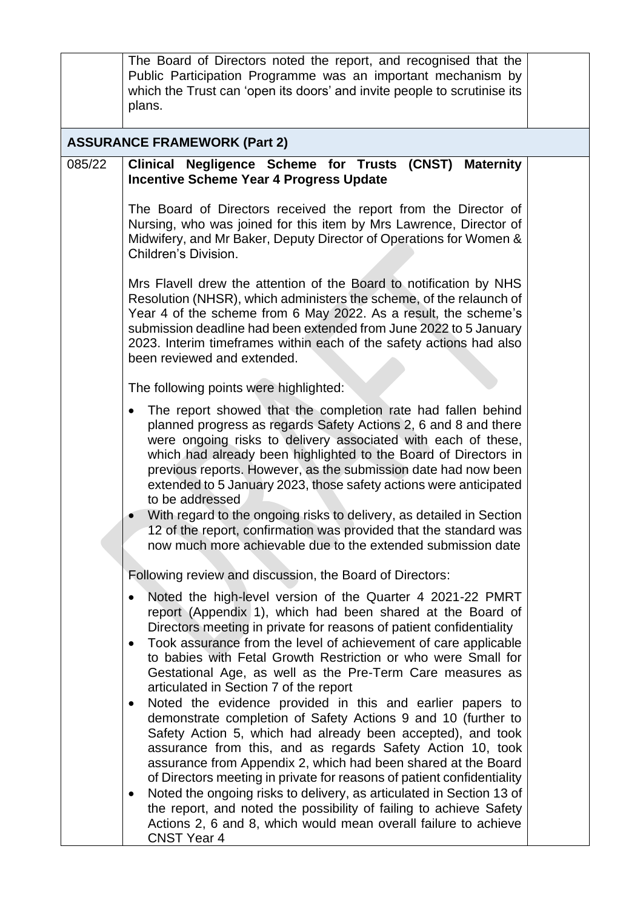|        | The Board of Directors noted the report, and recognised that the<br>Public Participation Programme was an important mechanism by<br>which the Trust can 'open its doors' and invite people to scrutinise its<br>plans.                                                                                                                                                                                                                                                                                                                                                     |  |
|--------|----------------------------------------------------------------------------------------------------------------------------------------------------------------------------------------------------------------------------------------------------------------------------------------------------------------------------------------------------------------------------------------------------------------------------------------------------------------------------------------------------------------------------------------------------------------------------|--|
|        | <b>ASSURANCE FRAMEWORK (Part 2)</b>                                                                                                                                                                                                                                                                                                                                                                                                                                                                                                                                        |  |
| 085/22 | Clinical Negligence Scheme for Trusts (CNST) Maternity<br><b>Incentive Scheme Year 4 Progress Update</b>                                                                                                                                                                                                                                                                                                                                                                                                                                                                   |  |
|        | The Board of Directors received the report from the Director of<br>Nursing, who was joined for this item by Mrs Lawrence, Director of<br>Midwifery, and Mr Baker, Deputy Director of Operations for Women &<br>Children's Division.                                                                                                                                                                                                                                                                                                                                        |  |
|        | Mrs Flavell drew the attention of the Board to notification by NHS<br>Resolution (NHSR), which administers the scheme, of the relaunch of<br>Year 4 of the scheme from 6 May 2022. As a result, the scheme's<br>submission deadline had been extended from June 2022 to 5 January<br>2023. Interim timeframes within each of the safety actions had also<br>been reviewed and extended.                                                                                                                                                                                    |  |
|        | The following points were highlighted:                                                                                                                                                                                                                                                                                                                                                                                                                                                                                                                                     |  |
|        | The report showed that the completion rate had fallen behind<br>planned progress as regards Safety Actions 2, 6 and 8 and there<br>were ongoing risks to delivery associated with each of these,<br>which had already been highlighted to the Board of Directors in<br>previous reports. However, as the submission date had now been<br>extended to 5 January 2023, those safety actions were anticipated<br>to be addressed<br>With regard to the ongoing risks to delivery, as detailed in Section                                                                      |  |
|        | 12 of the report, confirmation was provided that the standard was<br>now much more achievable due to the extended submission date                                                                                                                                                                                                                                                                                                                                                                                                                                          |  |
|        | Following review and discussion, the Board of Directors:                                                                                                                                                                                                                                                                                                                                                                                                                                                                                                                   |  |
|        | Noted the high-level version of the Quarter 4 2021-22 PMRT<br>report (Appendix 1), which had been shared at the Board of<br>Directors meeting in private for reasons of patient confidentiality<br>Took assurance from the level of achievement of care applicable<br>$\bullet$<br>to babies with Fetal Growth Restriction or who were Small for<br>Gestational Age, as well as the Pre-Term Care measures as<br>articulated in Section 7 of the report                                                                                                                    |  |
|        | Noted the evidence provided in this and earlier papers to<br>$\bullet$<br>demonstrate completion of Safety Actions 9 and 10 (further to<br>Safety Action 5, which had already been accepted), and took<br>assurance from this, and as regards Safety Action 10, took<br>assurance from Appendix 2, which had been shared at the Board<br>of Directors meeting in private for reasons of patient confidentiality<br>Noted the ongoing risks to delivery, as articulated in Section 13 of<br>$\bullet$<br>the report, and noted the possibility of failing to achieve Safety |  |
|        | Actions 2, 6 and 8, which would mean overall failure to achieve<br><b>CNST Year 4</b>                                                                                                                                                                                                                                                                                                                                                                                                                                                                                      |  |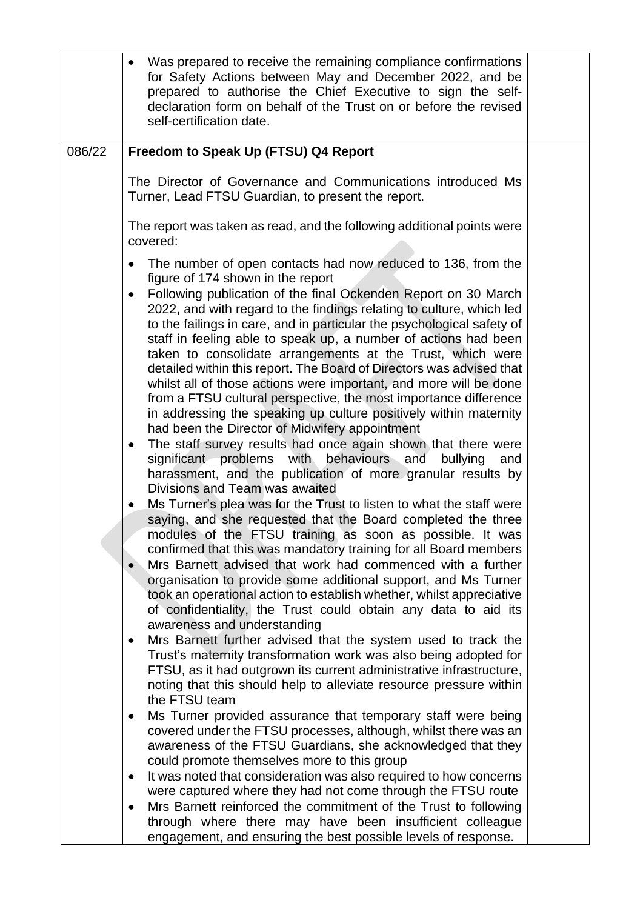|        | Was prepared to receive the remaining compliance confirmations<br>for Safety Actions between May and December 2022, and be<br>prepared to authorise the Chief Executive to sign the self-<br>declaration form on behalf of the Trust on or before the revised<br>self-certification date.                                                                                                                                                                                                                                                                                                                                                                                                                                                                                                                                                                                                                                                                                                                                                                                                                                                                                                                                                                                                                                                                                                                                                                                                                                                                                                                                                 |  |
|--------|-------------------------------------------------------------------------------------------------------------------------------------------------------------------------------------------------------------------------------------------------------------------------------------------------------------------------------------------------------------------------------------------------------------------------------------------------------------------------------------------------------------------------------------------------------------------------------------------------------------------------------------------------------------------------------------------------------------------------------------------------------------------------------------------------------------------------------------------------------------------------------------------------------------------------------------------------------------------------------------------------------------------------------------------------------------------------------------------------------------------------------------------------------------------------------------------------------------------------------------------------------------------------------------------------------------------------------------------------------------------------------------------------------------------------------------------------------------------------------------------------------------------------------------------------------------------------------------------------------------------------------------------|--|
| 086/22 | Freedom to Speak Up (FTSU) Q4 Report                                                                                                                                                                                                                                                                                                                                                                                                                                                                                                                                                                                                                                                                                                                                                                                                                                                                                                                                                                                                                                                                                                                                                                                                                                                                                                                                                                                                                                                                                                                                                                                                      |  |
|        | The Director of Governance and Communications introduced Ms<br>Turner, Lead FTSU Guardian, to present the report.                                                                                                                                                                                                                                                                                                                                                                                                                                                                                                                                                                                                                                                                                                                                                                                                                                                                                                                                                                                                                                                                                                                                                                                                                                                                                                                                                                                                                                                                                                                         |  |
|        | The report was taken as read, and the following additional points were<br>covered:                                                                                                                                                                                                                                                                                                                                                                                                                                                                                                                                                                                                                                                                                                                                                                                                                                                                                                                                                                                                                                                                                                                                                                                                                                                                                                                                                                                                                                                                                                                                                        |  |
|        | The number of open contacts had now reduced to 136, from the<br>figure of 174 shown in the report<br>Following publication of the final Ockenden Report on 30 March<br>2022, and with regard to the findings relating to culture, which led<br>to the failings in care, and in particular the psychological safety of<br>staff in feeling able to speak up, a number of actions had been<br>taken to consolidate arrangements at the Trust, which were<br>detailed within this report. The Board of Directors was advised that<br>whilst all of those actions were important, and more will be done<br>from a FTSU cultural perspective, the most importance difference<br>in addressing the speaking up culture positively within maternity<br>had been the Director of Midwifery appointment<br>The staff survey results had once again shown that there were<br>$\bullet$<br>significant problems with behaviours and<br>bullying<br>and<br>harassment, and the publication of more granular results by<br>Divisions and Team was awaited<br>Ms Turner's plea was for the Trust to listen to what the staff were<br>saying, and she requested that the Board completed the three<br>modules of the FTSU training as soon as possible. It was<br>confirmed that this was mandatory training for all Board members<br>Mrs Barnett advised that work had commenced with a further<br>$\bullet$<br>organisation to provide some additional support, and Ms Turner<br>took an operational action to establish whether, whilst appreciative<br>of confidentiality, the Trust could obtain any data to aid its<br>awareness and understanding |  |
|        | Mrs Barnett further advised that the system used to track the<br>٠<br>Trust's maternity transformation work was also being adopted for<br>FTSU, as it had outgrown its current administrative infrastructure,<br>noting that this should help to alleviate resource pressure within<br>the FTSU team                                                                                                                                                                                                                                                                                                                                                                                                                                                                                                                                                                                                                                                                                                                                                                                                                                                                                                                                                                                                                                                                                                                                                                                                                                                                                                                                      |  |
|        | Ms Turner provided assurance that temporary staff were being<br>٠<br>covered under the FTSU processes, although, whilst there was an<br>awareness of the FTSU Guardians, she acknowledged that they                                                                                                                                                                                                                                                                                                                                                                                                                                                                                                                                                                                                                                                                                                                                                                                                                                                                                                                                                                                                                                                                                                                                                                                                                                                                                                                                                                                                                                       |  |
|        | could promote themselves more to this group<br>It was noted that consideration was also required to how concerns<br>٠<br>were captured where they had not come through the FTSU route                                                                                                                                                                                                                                                                                                                                                                                                                                                                                                                                                                                                                                                                                                                                                                                                                                                                                                                                                                                                                                                                                                                                                                                                                                                                                                                                                                                                                                                     |  |
|        | Mrs Barnett reinforced the commitment of the Trust to following<br>through where there may have been insufficient colleague<br>engagement, and ensuring the best possible levels of response.                                                                                                                                                                                                                                                                                                                                                                                                                                                                                                                                                                                                                                                                                                                                                                                                                                                                                                                                                                                                                                                                                                                                                                                                                                                                                                                                                                                                                                             |  |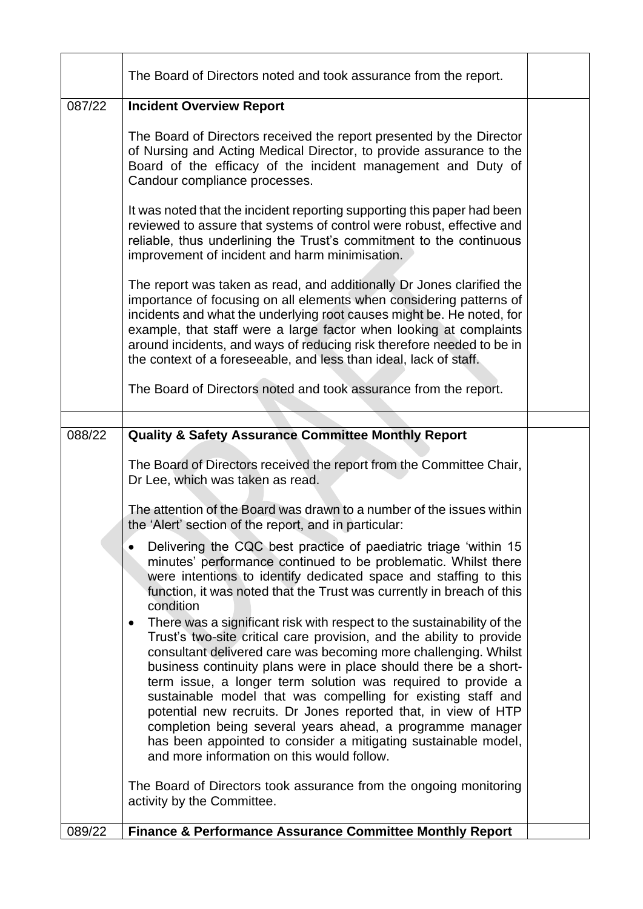|        | The Board of Directors noted and took assurance from the report.                                                                                                                                                                                                                                                                                                                                                                          |  |
|--------|-------------------------------------------------------------------------------------------------------------------------------------------------------------------------------------------------------------------------------------------------------------------------------------------------------------------------------------------------------------------------------------------------------------------------------------------|--|
| 087/22 | <b>Incident Overview Report</b>                                                                                                                                                                                                                                                                                                                                                                                                           |  |
|        | The Board of Directors received the report presented by the Director<br>of Nursing and Acting Medical Director, to provide assurance to the<br>Board of the efficacy of the incident management and Duty of<br>Candour compliance processes.                                                                                                                                                                                              |  |
|        | It was noted that the incident reporting supporting this paper had been<br>reviewed to assure that systems of control were robust, effective and<br>reliable, thus underlining the Trust's commitment to the continuous<br>improvement of incident and harm minimisation.                                                                                                                                                                 |  |
|        | The report was taken as read, and additionally Dr Jones clarified the<br>importance of focusing on all elements when considering patterns of<br>incidents and what the underlying root causes might be. He noted, for<br>example, that staff were a large factor when looking at complaints<br>around incidents, and ways of reducing risk therefore needed to be in<br>the context of a foreseeable, and less than ideal, lack of staff. |  |
|        | The Board of Directors noted and took assurance from the report.                                                                                                                                                                                                                                                                                                                                                                          |  |
|        |                                                                                                                                                                                                                                                                                                                                                                                                                                           |  |
| 088/22 | <b>Quality &amp; Safety Assurance Committee Monthly Report</b>                                                                                                                                                                                                                                                                                                                                                                            |  |
|        | The Board of Directors received the report from the Committee Chair,<br>Dr Lee, which was taken as read.                                                                                                                                                                                                                                                                                                                                  |  |
|        | The attention of the Board was drawn to a number of the issues within<br>the 'Alert' section of the report, and in particular:                                                                                                                                                                                                                                                                                                            |  |
|        | Delivering the CQC best practice of paediatric triage 'within 15<br>minutes' performance continued to be problematic. Whilst there<br>were intentions to identify dedicated space and staffing to this<br>function, it was noted that the Trust was currently in breach of this<br>condition                                                                                                                                              |  |
|        | There was a significant risk with respect to the sustainability of the<br>$\bullet$<br>Trust's two-site critical care provision, and the ability to provide<br>consultant delivered care was becoming more challenging. Whilst<br>business continuity plans were in place should there be a short-<br>term issue, a longer term solution was required to provide a                                                                        |  |
|        | sustainable model that was compelling for existing staff and<br>potential new recruits. Dr Jones reported that, in view of HTP<br>completion being several years ahead, a programme manager<br>has been appointed to consider a mitigating sustainable model,                                                                                                                                                                             |  |
|        | and more information on this would follow.<br>The Board of Directors took assurance from the ongoing monitoring<br>activity by the Committee.                                                                                                                                                                                                                                                                                             |  |
| 089/22 | <b>Finance &amp; Performance Assurance Committee Monthly Report</b>                                                                                                                                                                                                                                                                                                                                                                       |  |